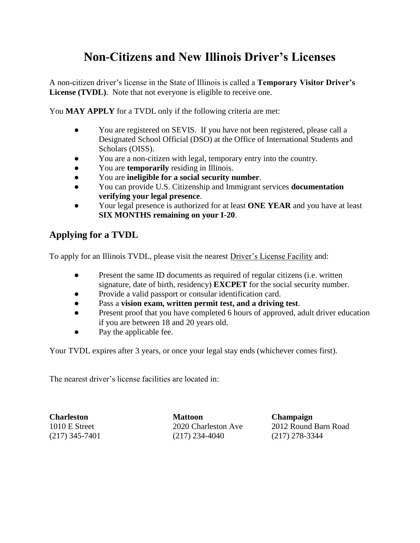## **Non-Citizens and New Illinois Driver's Licenses**

A non-citizen driver's license in the State of Illinois is called a **Temporary Visitor Driver's License (TVDL)**. Note that not everyone is eligible to receive one.

You **MAY APPLY** for a TVDL only if the following criteria are met:

- You are registered on SEVIS. If you have not been registered, please call a Designated School Official (DSO) at the Office of International Students and Scholars (OISS).
- You are a non-citizen with legal, temporary entry into the country.
- You are **temporarily** residing in Illinois.
- You are **ineligible for a social security number**.
- You can provide U.S. Citizenship and Immigrant services **documentation verifying your legal presence**.
- Your legal presence is authorized for at least **ONE YEAR** and you have at least **SIX MONTHS remaining on your I-20**.

## **Applying for a TVDL**

To apply for an Illinois TVDL, please visit the nearest Driver's License Facility and:

- Present the same ID documents as required of regular citizens (i.e. written signature, date of birth, residency) **EXCPET** for the social security number.
- Provide a valid passport or consular identification card.
- Pass a **vision exam, written permit test, and a driving test**.
- Present proof that you have completed 6 hours of approved, adult driver education if you are between 18 and 20 years old.
- Pay the applicable fee.

Your TVDL expires after 3 years, or once your legal stay ends (whichever comes first).

The nearest driver's license facilities are located in:

**Charleston Mattoon Champaign** (217) 345-7401 (217) 234-4040 (217) 278-3344

1010 E Street 2020 Charleston Ave 2012 Round Barn Road